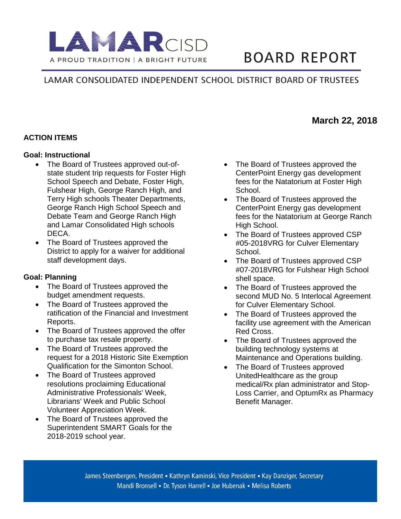

# **BOARD REPORT**

# LAMAR CONSOLIDATED INDEPENDENT SCHOOL DISTRICT BOARD OF TRUSTEES

## **ACTION ITEMS**

#### **Goal: Instructional**

- The Board of Trustees approved out-ofstate student trip requests for Foster High School Speech and Debate, Foster High, Fulshear High, George Ranch High, and Terry High schools Theater Departments, George Ranch High School Speech and Debate Team and George Ranch High and Lamar Consolidated High schools DECA.
- The Board of Trustees approved the District to apply for a waiver for additional staff development days.

#### **Goal: Planning**

- The Board of Trustees approved the budget amendment requests.
- The Board of Trustees approved the ratification of the Financial and Investment Reports.
- The Board of Trustees approved the offer to purchase tax resale property.
- The Board of Trustees approved the request for a 2018 Historic Site Exemption Qualification for the Simonton School.
- The Board of Trustees approved resolutions proclaiming Educational Administrative Professionals' Week, Librarians' Week and Public School Volunteer Appreciation Week.
- The Board of Trustees approved the Superintendent SMART Goals for the 2018-2019 school year.
- The Board of Trustees approved the CenterPoint Energy gas development fees for the Natatorium at Foster High School.
- The Board of Trustees approved the CenterPoint Energy gas development fees for the Natatorium at George Ranch High School.
- The Board of Trustees approved CSP #05-2018VRG for Culver Elementary School.
- The Board of Trustees approved CSP #07-2018VRG for Fulshear High School shell space.
- The Board of Trustees approved the second MUD No. 5 Interlocal Agreement for Culver Elementary School.
- The Board of Trustees approved the facility use agreement with the American Red Cross.
- The Board of Trustees approved the building technology systems at Maintenance and Operations building.
- The Board of Trustees approved UnitedHealthcare as the group medical/Rx plan administrator and Stop-Loss Carrier, and OptumRx as Pharmacy Benefit Manager.

## **March 22, 2018**